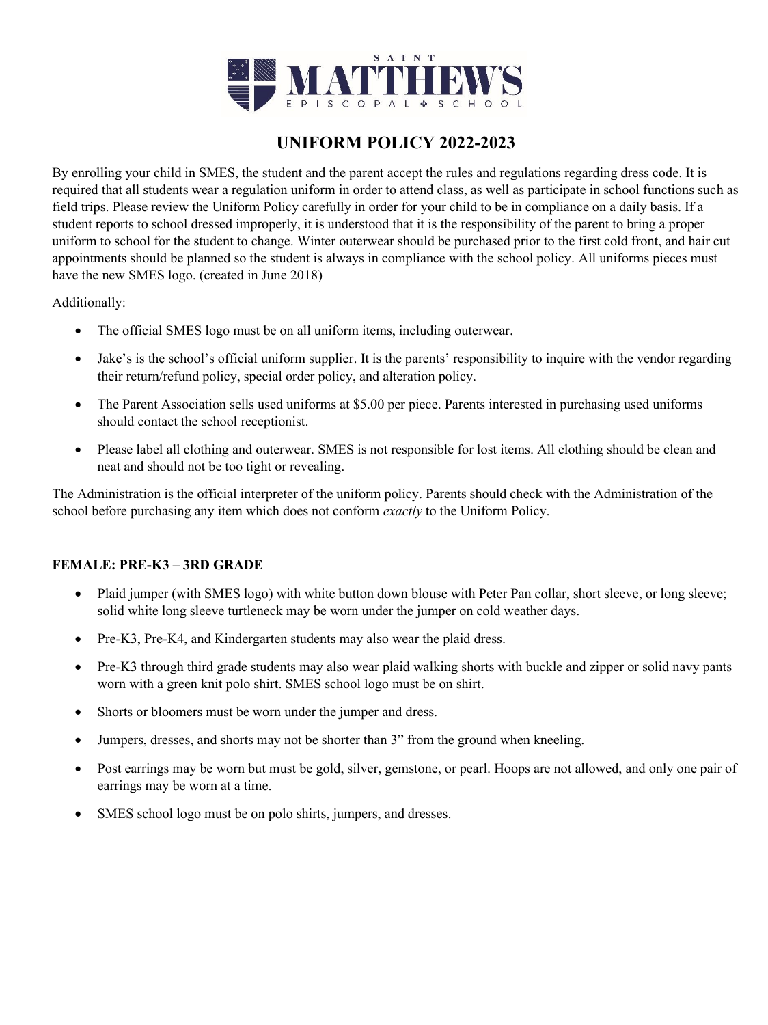

# **UNIFORM POLICY 2022-2023**

By enrolling your child in SMES, the student and the parent accept the rules and regulations regarding dress code. It is required that all students wear a regulation uniform in order to attend class, as well as participate in school functions such as field trips. Please review the Uniform Policy carefully in order for your child to be in compliance on a daily basis. If a student reports to school dressed improperly, it is understood that it is the responsibility of the parent to bring a proper uniform to school for the student to change. Winter outerwear should be purchased prior to the first cold front, and hair cut appointments should be planned so the student is always in compliance with the school policy. All uniforms pieces must have the new SMES logo. (created in June 2018)

Additionally:

- The official SMES logo must be on all uniform items, including outerwear.
- Jake's is the school's official uniform supplier. It is the parents' responsibility to inquire with the vendor regarding their return/refund policy, special order policy, and alteration policy.
- The Parent Association sells used uniforms at \$5.00 per piece. Parents interested in purchasing used uniforms should contact the school receptionist.
- Please label all clothing and outerwear. SMES is not responsible for lost items. All clothing should be clean and neat and should not be too tight or revealing.

The Administration is the official interpreter of the uniform policy. Parents should check with the Administration of the school before purchasing any item which does not conform *exactly* to the Uniform Policy.

# **FEMALE: PRE-K3 – 3RD GRADE**

- Plaid jumper (with SMES logo) with white button down blouse with Peter Pan collar, short sleeve, or long sleeve; solid white long sleeve turtleneck may be worn under the jumper on cold weather days.
- Pre-K3, Pre-K4, and Kindergarten students may also wear the plaid dress.
- Pre-K3 through third grade students may also wear plaid walking shorts with buckle and zipper or solid navy pants worn with a green knit polo shirt. SMES school logo must be on shirt.
- Shorts or bloomers must be worn under the jumper and dress.
- Jumpers, dresses, and shorts may not be shorter than 3" from the ground when kneeling.
- Post earrings may be worn but must be gold, silver, gemstone, or pearl. Hoops are not allowed, and only one pair of earrings may be worn at a time.
- SMES school logo must be on polo shirts, jumpers, and dresses.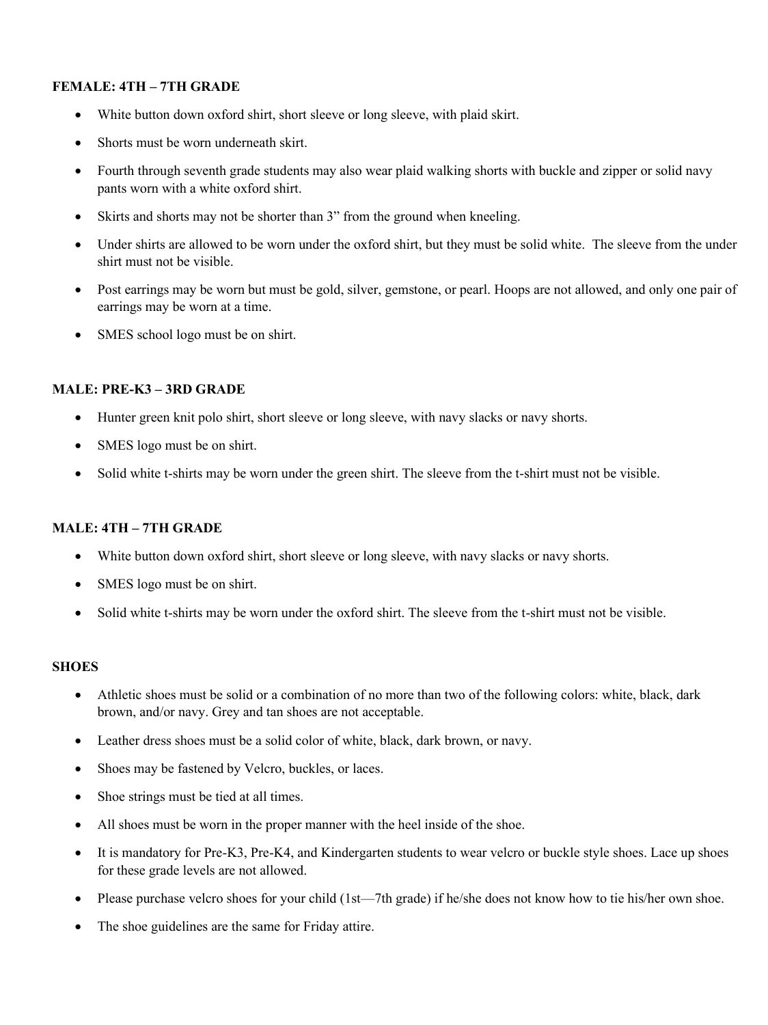# **FEMALE: 4TH – 7TH GRADE**

- White button down oxford shirt, short sleeve or long sleeve, with plaid skirt.
- Shorts must be worn underneath skirt.
- Fourth through seventh grade students may also wear plaid walking shorts with buckle and zipper or solid navy pants worn with a white oxford shirt.
- Skirts and shorts may not be shorter than 3" from the ground when kneeling.
- Under shirts are allowed to be worn under the oxford shirt, but they must be solid white. The sleeve from the under shirt must not be visible.
- Post earrings may be worn but must be gold, silver, gemstone, or pearl. Hoops are not allowed, and only one pair of earrings may be worn at a time.
- SMES school logo must be on shirt.

## **MALE: PRE-K3 – 3RD GRADE**

- Hunter green knit polo shirt, short sleeve or long sleeve, with navy slacks or navy shorts.
- SMES logo must be on shirt.
- Solid white t-shirts may be worn under the green shirt. The sleeve from the t-shirt must not be visible.

# **MALE: 4TH – 7TH GRADE**

- White button down oxford shirt, short sleeve or long sleeve, with navy slacks or navy shorts.
- SMES logo must be on shirt.
- Solid white t-shirts may be worn under the oxford shirt. The sleeve from the t-shirt must not be visible.

## **SHOES**

- Athletic shoes must be solid or a combination of no more than two of the following colors: white, black, dark brown, and/or navy. Grey and tan shoes are not acceptable.
- Leather dress shoes must be a solid color of white, black, dark brown, or navy.
- Shoes may be fastened by Velcro, buckles, or laces.
- Shoe strings must be tied at all times.
- All shoes must be worn in the proper manner with the heel inside of the shoe.
- It is mandatory for Pre-K3, Pre-K4, and Kindergarten students to wear velcro or buckle style shoes. Lace up shoes for these grade levels are not allowed.
- Please purchase velcro shoes for your child (1st—7th grade) if he/she does not know how to tie his/her own shoe.
- The shoe guidelines are the same for Friday attire.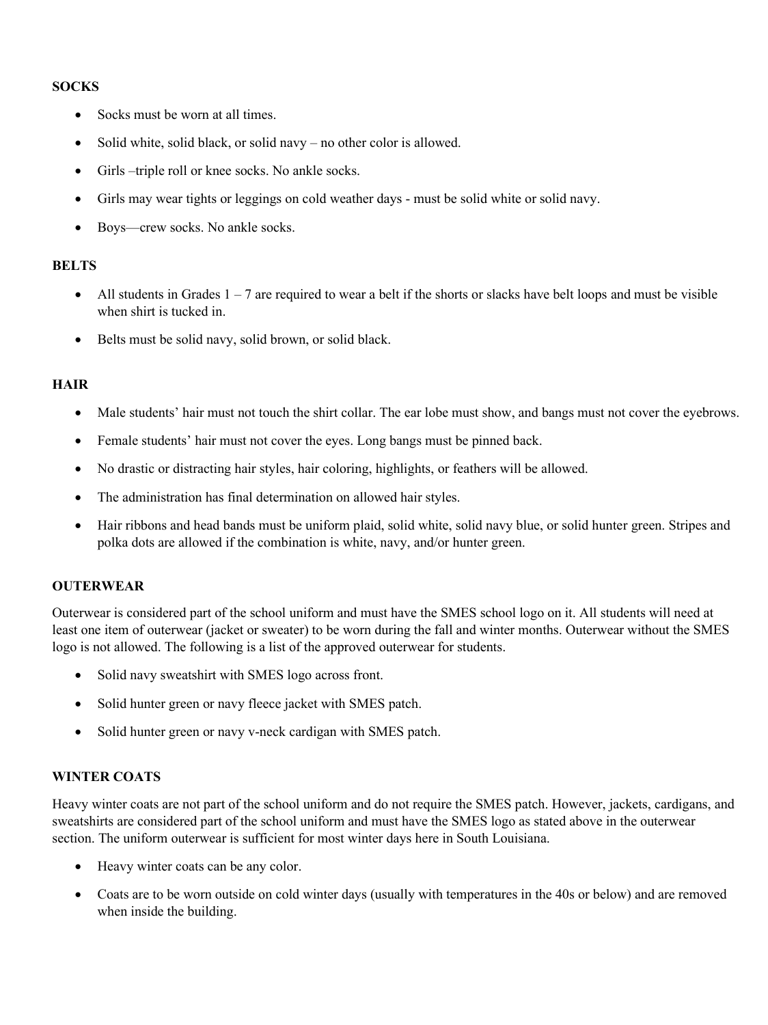# **SOCKS**

- Socks must be worn at all times.
- Solid white, solid black, or solid navy no other color is allowed.
- Girls –triple roll or knee socks. No ankle socks.
- Girls may wear tights or leggings on cold weather days must be solid white or solid navy.
- Boys—crew socks. No ankle socks.

## **BELTS**

- All students in Grades  $1 7$  are required to wear a belt if the shorts or slacks have belt loops and must be visible when shirt is tucked in.
- Belts must be solid navy, solid brown, or solid black.

# **HAIR**

- Male students' hair must not touch the shirt collar. The ear lobe must show, and bangs must not cover the eyebrows.
- Female students' hair must not cover the eyes. Long bangs must be pinned back.
- No drastic or distracting hair styles, hair coloring, highlights, or feathers will be allowed.
- The administration has final determination on allowed hair styles.
- Hair ribbons and head bands must be uniform plaid, solid white, solid navy blue, or solid hunter green. Stripes and polka dots are allowed if the combination is white, navy, and/or hunter green.

## **OUTERWEAR**

Outerwear is considered part of the school uniform and must have the SMES school logo on it. All students will need at least one item of outerwear (jacket or sweater) to be worn during the fall and winter months. Outerwear without the SMES logo is not allowed. The following is a list of the approved outerwear for students.

- Solid navy sweatshirt with SMES logo across front.
- Solid hunter green or navy fleece jacket with SMES patch.
- Solid hunter green or navy v-neck cardigan with SMES patch.

## **WINTER COATS**

Heavy winter coats are not part of the school uniform and do not require the SMES patch. However, jackets, cardigans, and sweatshirts are considered part of the school uniform and must have the SMES logo as stated above in the outerwear section. The uniform outerwear is sufficient for most winter days here in South Louisiana.

- Heavy winter coats can be any color.
- Coats are to be worn outside on cold winter days (usually with temperatures in the 40s or below) and are removed when inside the building.